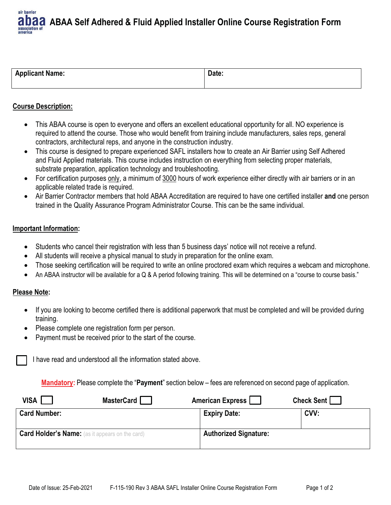air barrier **ABAA Self Adhered & Fluid Applied Installer Online Course Registration Form** association of

| <b>Applicant Name:</b> | Date: |
|------------------------|-------|
|                        |       |

# **Course Description:**

- $\bullet$  This ABAA course is open to everyone and offers an excellent educational opportunity for all. NO experience is required to attend the course. Those who would benefit from training include manufacturers, sales reps, general contractors, architectural reps, and anyone in the construction industry.
- $\bullet$  This course is designed to prepare experienced SAFL installers how to create an Air Barrier using Self Adhered and Fluid Applied materials. This course includes instruction on everything from selecting proper materials, substrate preparation, application technology and troubleshooting.
- $\bullet$  For certification purposes only, a minimum of 3000 hours of work experience either directly with air barriers or in an applicable related trade is required.
- $\bullet$  Air Barrier Contractor members that hold ABAA Accreditation are required to have one certified installer **and** one person trained in the Quality Assurance Program Administrator Course. This can be the same individual.

# **Important Information:**

- $\bullet$ Students who cancel their registration with less than 5 business days' notice will not receive a refund.
- $\bullet$ All students will receive a physical manual to study in preparation for the online exam.
- $\bullet$ Those seeking certification will be required to write an online proctored exam which requires a webcam and microphone.
- $\bullet$ An ABAA instructor will be available for a Q & A period following training. This will be determined on a "course to course basis."

### **Please Note:**

- $\bullet$  If you are looking to become certified there is additional paperwork that must be completed and will be provided during training.
- $\bullet$ Please complete one registration form per person.
- $\bullet$ Payment must be received prior to the start of the course.

I have read and understood all the information stated above.

**Mandatory:** Please complete the "**Payment**" section below – fees are referenced on second page of application.

| <b>VISA</b>                                            | MasterCard | American Express             | Check Sent |
|--------------------------------------------------------|------------|------------------------------|------------|
| <b>Card Number:</b>                                    |            | <b>Expiry Date:</b>          | CVV:       |
| <b>Card Holder's Name:</b> (as it appears on the card) |            | <b>Authorized Signature:</b> |            |